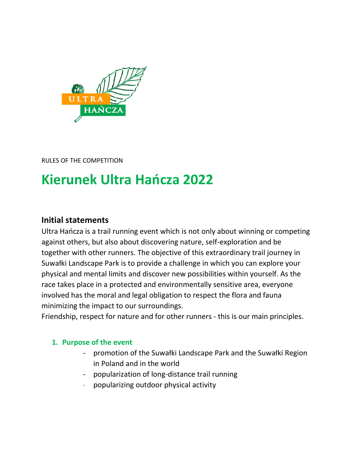

RULES OF THE COMPETITION

# **Kierunek Ultra Hańcza 2022**

# **Initial statements**

Ultra Hańcza is a trail running event which is not only about winning or competing against others, but also about discovering nature, self-exploration and be together with other runners. The objective of this extraordinary trail journey in Suwałki Landscape Park is to provide a challenge in which you can explore your physical and mental limits and discover new possibilities within yourself. As the race takes place in a protected and environmentally sensitive area, everyone involved has the moral and legal obligation to respect the flora and fauna minimizing the impact to our surroundings.

Friendship, respect for nature and for other runners - this is our main principles.

### **1. Purpose of the event**

- promotion of the Suwałki Landscape Park and the Suwałki Region in Poland and in the world
- popularization of long-distance trail running
- popularizing outdoor physical activity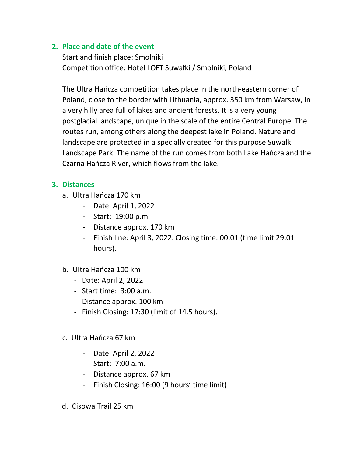### **2. Place and date of the event**

Start and finish place: Smolniki Competition office: Hotel LOFT Suwałki / Smolniki, Poland

The Ultra Hańcza competition takes place in the north-eastern corner of Poland, close to the border with Lithuania, approx. 350 km from Warsaw, in a very hilly area full of lakes and ancient forests. It is a very young postglacial landscape, unique in the scale of the entire Central Europe. The routes run, among others along the deepest lake in Poland. Nature and landscape are protected in a specially created for this purpose Suwałki Landscape Park. The name of the run comes from both Lake Hańcza and the Czarna Hańcza River, which flows from the lake.

### **3. Distances**

- a. Ultra Hańcza 170 km
	- Date: April 1, 2022
	- Start: 19:00 p.m.
	- Distance approx. 170 km
	- Finish line: April 3, 2022. Closing time. 00:01 (time limit 29:01 hours).

### b. Ultra Hańcza 100 km

- Date: April 2, 2022
- Start time: 3:00 a.m.
- Distance approx. 100 km
- Finish Closing: 17:30 (limit of 14.5 hours).
- c. Ultra Hańcza 67 km
	- Date: April 2, 2022
	- Start: 7:00 a.m.
	- Distance approx. 67 km
	- Finish Closing: 16:00 (9 hours' time limit)
- d. Cisowa Trail 25 km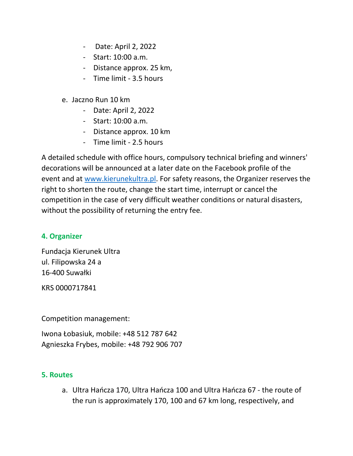- Date: April 2, 2022
- Start: 10:00 a.m.
- Distance approx. 25 km,
- Time limit 3.5 hours
- e. Jaczno Run 10 km
	- Date: April 2, 2022
	- Start: 10:00 a.m.
	- Distance approx. 10 km
	- Time limit 2.5 hours

A detailed schedule with office hours, compulsory technical briefing and winners' decorations will be announced at a later date on the Facebook profile of the event and at [www.kierunekultra.pl.](http://www.kierunekultra.pl/) For safety reasons, the Organizer reserves the right to shorten the route, change the start time, interrupt or cancel the competition in the case of very difficult weather conditions or natural disasters, without the possibility of returning the entry fee.

# **4. Organizer**

Fundacja Kierunek Ultra ul. Filipowska 24 a 16-400 Suwałki

KRS 0000717841

Competition management:

Iwona Łobasiuk, mobile: +48 512 787 642 Agnieszka Frybes, mobile: +48 792 906 707

### **5. Routes**

a. Ultra Hańcza 170, Ultra Hańcza 100 and Ultra Hańcza 67 - the route of the run is approximately 170, 100 and 67 km long, respectively, and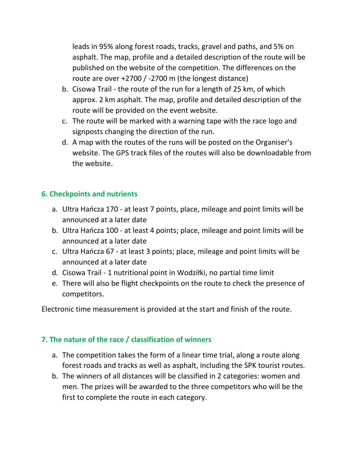leads in 95% along forest roads, tracks, gravel and paths, and 5% on asphalt. The map, profile and a detailed description of the route will be published on the website of the competition. The differences on the route are over +2700 / -2700 m (the longest distance)

- b. Cisowa Trail the route of the run for a length of 25 km, of which approx. 2 km asphalt. The map, profile and detailed description of the route will be provided on the event website.
- c. The route will be marked with a warning tape with the race logo and signposts changing the direction of the run.
- d. A map with the routes of the runs will be posted on the Organiser's website. The GPS track files of the routes will also be downloadable from the website.

# **6. Checkpoints and nutrients**

- a. Ultra Hańcza 170 at least 7 points, place, mileage and point limits will be announced at a later date
- b. Ultra Hańcza 100 at least 4 points; place, mileage and point limits will be announced at a later date
- c. Ultra Hańcza 67 at least 3 points; place, mileage and point limits will be announced at a later date
- d. Cisowa Trail 1 nutritional point in Wodziłki, no partial time limit
- e. There will also be flight checkpoints on the route to check the presence of competitors.

Electronic time measurement is provided at the start and finish of the route.

# **7. The nature of the race / classification of winners**

- a. The competition takes the form of a linear time trial, along a route along forest roads and tracks as well as asphalt, including the SPK tourist routes.
- b. The winners of all distances will be classified in 2 categories: women and men. The prizes will be awarded to the three competitors who will be the first to complete the route in each category.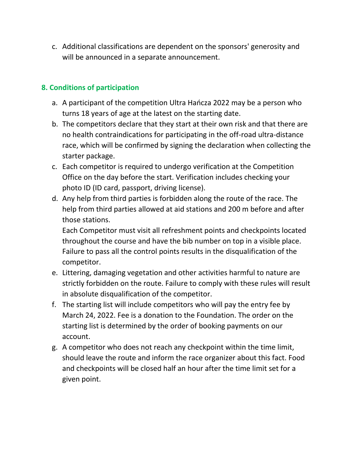c. Additional classifications are dependent on the sponsors' generosity and will be announced in a separate announcement.

# **8. Conditions of participation**

- a. A participant of the competition Ultra Hańcza 2022 may be a person who turns 18 years of age at the latest on the starting date.
- b. The competitors declare that they start at their own risk and that there are no health contraindications for participating in the off-road ultra-distance race, which will be confirmed by signing the declaration when collecting the starter package.
- c. Each competitor is required to undergo verification at the Competition Office on the day before the start. Verification includes checking your photo ID (ID card, passport, driving license).
- d. Any help from third parties is forbidden along the route of the race. The help from third parties allowed at aid stations and 200 m before and after those stations.

Each Competitor must visit all refreshment points and checkpoints located throughout the course and have the bib number on top in a visible place. Failure to pass all the control points results in the disqualification of the competitor.

- e. Littering, damaging vegetation and other activities harmful to nature are strictly forbidden on the route. Failure to comply with these rules will result in absolute disqualification of the competitor.
- f. The starting list will include competitors who will pay the entry fee by March 24, 2022. Fee is a donation to the Foundation. The order on the starting list is determined by the order of booking payments on our account.
- g. A competitor who does not reach any checkpoint within the time limit, should leave the route and inform the race organizer about this fact. Food and checkpoints will be closed half an hour after the time limit set for a given point.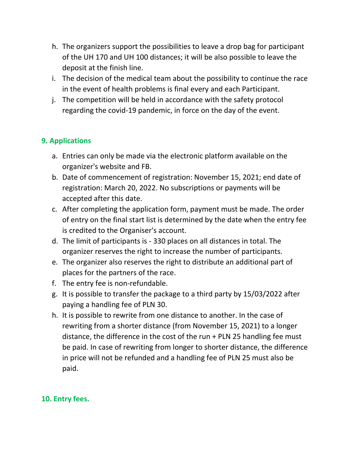- h. The organizers support the possibilities to leave a drop bag for participant of the UH 170 and UH 100 distances; it will be also possible to leave the deposit at the finish line.
- i. The decision of the medical team about the possibility to continue the race in the event of health problems is final every and each Participant.
- j. The competition will be held in accordance with the safety protocol regarding the covid-19 pandemic, in force on the day of the event.

# **9. Applications**

- a. Entries can only be made via the electronic platform available on the organizer's website and FB.
- b. Date of commencement of registration: November 15, 2021; end date of registration: March 20, 2022. No subscriptions or payments will be accepted after this date.
- c. After completing the application form, payment must be made. The order of entry on the final start list is determined by the date when the entry fee is credited to the Organiser's account.
- d. The limit of participants is 330 places on all distances in total. The organizer reserves the right to increase the number of participants.
- e. The organizer also reserves the right to distribute an additional part of places for the partners of the race.
- f. The entry fee is non-refundable.
- g. It is possible to transfer the package to a third party by 15/03/2022 after paying a handling fee of PLN 30.
- h. It is possible to rewrite from one distance to another. In the case of rewriting from a shorter distance (from November 15, 2021) to a longer distance, the difference in the cost of the run + PLN 25 handling fee must be paid. In case of rewriting from longer to shorter distance, the difference in price will not be refunded and a handling fee of PLN 25 must also be paid.

# **10. Entry fees.**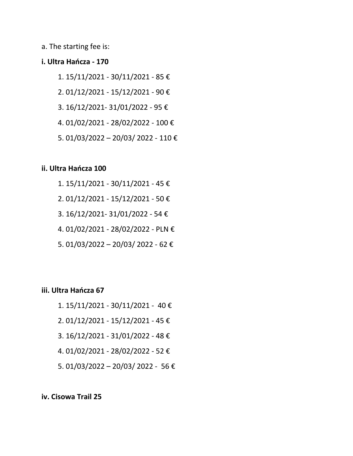a. The starting fee is:

#### **i. Ultra Hańcza - 170**

- 1. 15/11/2021 30/11/2021 85 €
- 2. 01/12/2021 15/12/2021 90 €
- 3. 16/12/2021- 31/01/2022 95 €
- 4. 01/02/2021 28/02/2022 100 €
- 5. 01/03/2022 20/03/ 2022 110 €

#### **ii. Ultra Hańcza 100**

- 1. 15/11/2021 30/11/2021 45 € 2. 01/12/2021 - 15/12/2021 - 50 €
- 3. 16/12/2021- 31/01/2022 54 €
- 4. 01/02/2021 28/02/2022 PLN €
- 5. 01/03/2022 20/03/ 2022 62 €

#### **iii. Ultra Hańcza 67**

- 1. 15/11/2021 30/11/2021 40 €
- 2. 01/12/2021 15/12/2021 45 €
- 3. 16/12/2021 31/01/2022 48 €
- 4. 01/02/2021 28/02/2022 52 €
- 5. 01/03/2022 20/03/ 2022 56 €

#### **iv. Cisowa Trail 25**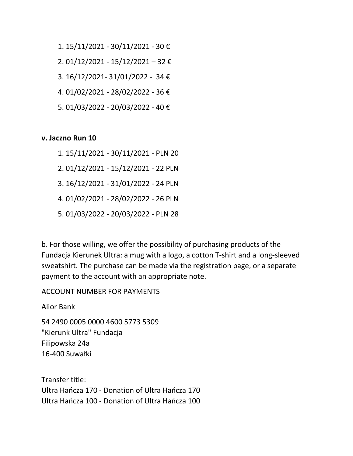- 1. 15/11/2021 30/11/2021 30 €
- 2. 01/12/2021 15/12/2021 32 €
- 3. 16/12/2021- 31/01/2022 34 €
- 4. 01/02/2021 28/02/2022 36 €
- 5. 01/03/2022 20/03/2022 40 €

#### **v. Jaczno Run 10**

- 1. 15/11/2021 30/11/2021 PLN 20
- 2. 01/12/2021 15/12/2021 22 PLN
- 3. 16/12/2021 31/01/2022 24 PLN
- 4. 01/02/2021 28/02/2022 26 PLN
- 5. 01/03/2022 20/03/2022 PLN 28

b. For those willing, we offer the possibility of purchasing products of the Fundacja Kierunek Ultra: a mug with a logo, a cotton T-shirt and a long-sleeved sweatshirt. The purchase can be made via the registration page, or a separate payment to the account with an appropriate note.

#### ACCOUNT NUMBER FOR PAYMENTS

Alior Bank

54 2490 0005 0000 4600 5773 5309 "Kierunk Ultra" Fundacja Filipowska 24a 16-400 Suwałki

Transfer title: Ultra Hańcza 170 - Donation of Ultra Hańcza 170 Ultra Hańcza 100 - Donation of Ultra Hańcza 100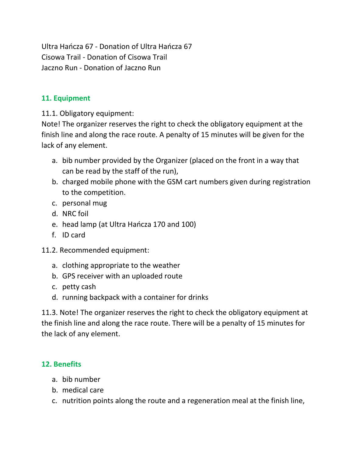Ultra Hańcza 67 - Donation of Ultra Hańcza 67 Cisowa Trail - Donation of Cisowa Trail Jaczno Run - Donation of Jaczno Run

### **11. Equipment**

11.1. Obligatory equipment:

Note! The organizer reserves the right to check the obligatory equipment at the finish line and along the race route. A penalty of 15 minutes will be given for the lack of any element.

- a. bib number provided by the Organizer (placed on the front in a way that can be read by the staff of the run),
- b. charged mobile phone with the GSM cart numbers given during registration to the competition.
- c. personal mug
- d. NRC foil
- e. head lamp (at Ultra Hańcza 170 and 100)
- f. ID card
- 11.2. Recommended equipment:
	- a. clothing appropriate to the weather
	- b. GPS receiver with an uploaded route
	- c. petty cash
	- d. running backpack with a container for drinks

11.3. Note! The organizer reserves the right to check the obligatory equipment at the finish line and along the race route. There will be a penalty of 15 minutes for the lack of any element.

# **12. Benefits**

- a. bib number
- b. medical care
- c. nutrition points along the route and a regeneration meal at the finish line,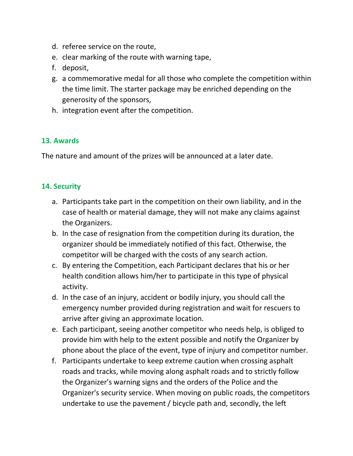- d. referee service on the route,
- e. clear marking of the route with warning tape,
- f. deposit,
- g. a commemorative medal for all those who complete the competition within the time limit. The starter package may be enriched depending on the generosity of the sponsors,
- h. integration event after the competition.

### **13. Awards**

The nature and amount of the prizes will be announced at a later date.

### **14. Security**

- a. Participants take part in the competition on their own liability, and in the case of health or material damage, they will not make any claims against the Organizers.
- b. In the case of resignation from the competition during its duration, the organizer should be immediately notified of this fact. Otherwise, the competitor will be charged with the costs of any search action.
- c. By entering the Competition, each Participant declares that his or her health condition allows him/her to participate in this type of physical activity.
- d. In the case of an injury, accident or bodily injury, you should call the emergency number provided during registration and wait for rescuers to arrive after giving an approximate location.
- e. Each participant, seeing another competitor who needs help, is obliged to provide him with help to the extent possible and notify the Organizer by phone about the place of the event, type of injury and competitor number.
- f. Participants undertake to keep extreme caution when crossing asphalt roads and tracks, while moving along asphalt roads and to strictly follow the Organizer's warning signs and the orders of the Police and the Organizer's security service. When moving on public roads, the competitors undertake to use the pavement / bicycle path and, secondly, the left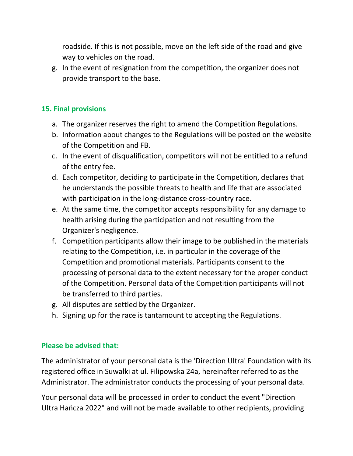roadside. If this is not possible, move on the left side of the road and give way to vehicles on the road.

g. In the event of resignation from the competition, the organizer does not provide transport to the base.

### **15. Final provisions**

- a. The organizer reserves the right to amend the Competition Regulations.
- b. Information about changes to the Regulations will be posted on the website of the Competition and FB.
- c. In the event of disqualification, competitors will not be entitled to a refund of the entry fee.
- d. Each competitor, deciding to participate in the Competition, declares that he understands the possible threats to health and life that are associated with participation in the long-distance cross-country race.
- e. At the same time, the competitor accepts responsibility for any damage to health arising during the participation and not resulting from the Organizer's negligence.
- f. Competition participants allow their image to be published in the materials relating to the Competition, i.e. in particular in the coverage of the Competition and promotional materials. Participants consent to the processing of personal data to the extent necessary for the proper conduct of the Competition. Personal data of the Competition participants will not be transferred to third parties.
- g. All disputes are settled by the Organizer.
- h. Signing up for the race is tantamount to accepting the Regulations.

### **Please be advised that:**

The administrator of your personal data is the 'Direction Ultra' Foundation with its registered office in Suwałki at ul. Filipowska 24a, hereinafter referred to as the Administrator. The administrator conducts the processing of your personal data.

Your personal data will be processed in order to conduct the event "Direction Ultra Hańcza 2022" and will not be made available to other recipients, providing